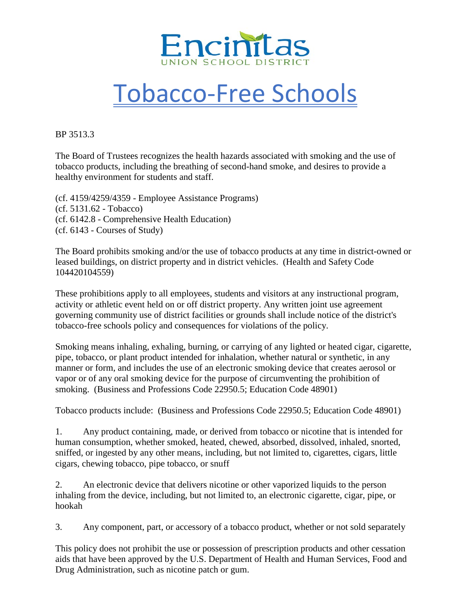

## Tobacco-Free Schools

BP 3513.3

The Board of Trustees recognizes the health hazards associated with smoking and the use of tobacco products, including the breathing of second-hand smoke, and desires to provide a healthy environment for students and staff.

(cf. 4159/4259/4359 - Employee Assistance Programs) (cf. 5131.62 - Tobacco) (cf. 6142.8 - Comprehensive Health Education) (cf. 6143 - Courses of Study)

The Board prohibits smoking and/or the use of tobacco products at any time in district-owned or leased buildings, on district property and in district vehicles. (Health and Safety Code 104420104559)

These prohibitions apply to all employees, students and visitors at any instructional program, activity or athletic event held on or off district property. Any written joint use agreement governing community use of district facilities or grounds shall include notice of the district's tobacco-free schools policy and consequences for violations of the policy.

Smoking means inhaling, exhaling, burning, or carrying of any lighted or heated cigar, cigarette, pipe, tobacco, or plant product intended for inhalation, whether natural or synthetic, in any manner or form, and includes the use of an electronic smoking device that creates aerosol or vapor or of any oral smoking device for the purpose of circumventing the prohibition of smoking. (Business and Professions Code 22950.5; Education Code 48901)

Tobacco products include: (Business and Professions Code 22950.5; Education Code 48901)

1. Any product containing, made, or derived from tobacco or nicotine that is intended for human consumption, whether smoked, heated, chewed, absorbed, dissolved, inhaled, snorted, sniffed, or ingested by any other means, including, but not limited to, cigarettes, cigars, little cigars, chewing tobacco, pipe tobacco, or snuff

2. An electronic device that delivers nicotine or other vaporized liquids to the person inhaling from the device, including, but not limited to, an electronic cigarette, cigar, pipe, or hookah

3. Any component, part, or accessory of a tobacco product, whether or not sold separately

This policy does not prohibit the use or possession of prescription products and other cessation aids that have been approved by the U.S. Department of Health and Human Services, Food and Drug Administration, such as nicotine patch or gum.